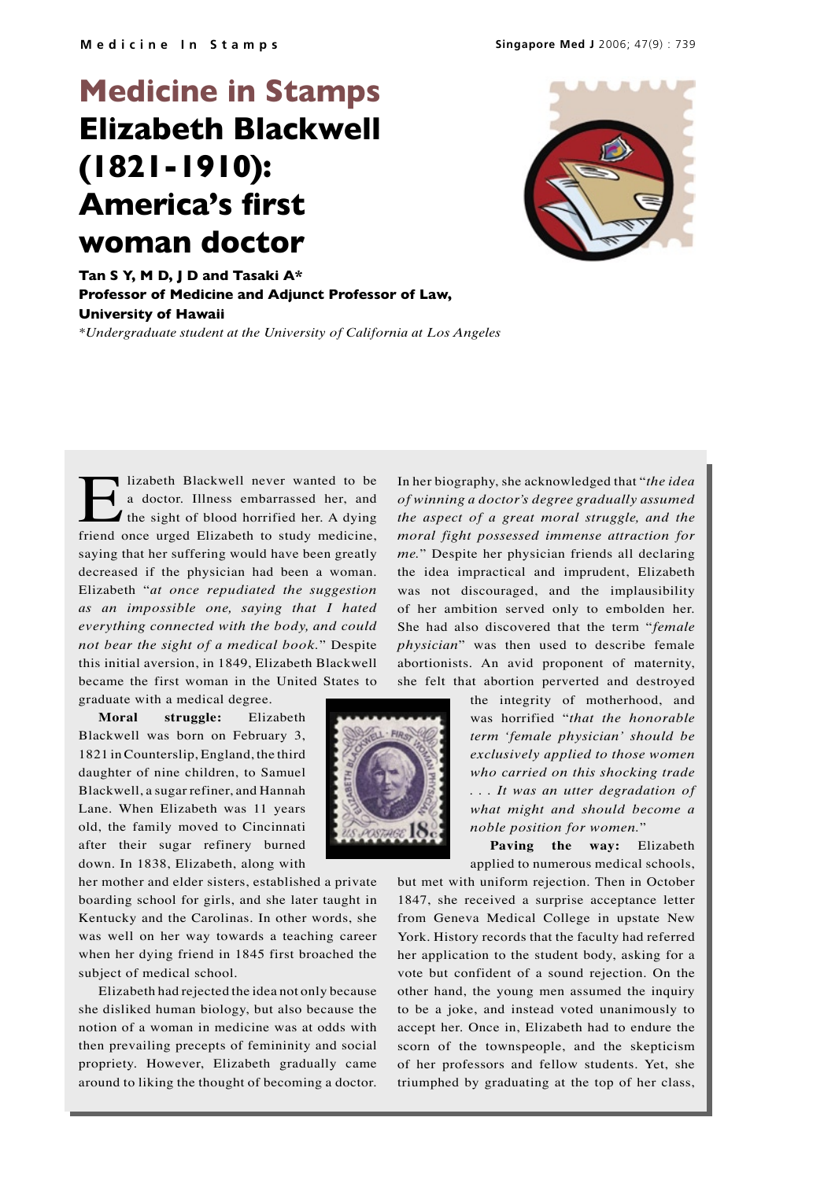## **Medicine in Stamps Elizabeth Blackwell (1821-1910): America's first woman doctor**



**Tan S Y, M D, J D and Tasaki A\* Professor of Medicine and Adjunct Professor of Law, University of Hawaii** *\*Undergraduate student at the University of California at Los Angeles*

Iizabeth Blackwell never wanted to be<br>a doctor. Illness embarrassed her, and<br>the sight of blood horrified her. A dying<br>friend once urged Elizabeth to study medicine a doctor. Illness embarrassed her, and the sight of blood horrified her. A dying friend once urged Elizabeth to study medicine, saying that her suffering would have been greatly decreased if the physician had been a woman. Elizabeth "*at once repudiated the suggestion as an impossible one, saying that I hated everything connected with the body, and could not bear the sight of a medical book.*" Despite this initial aversion, in 1849, Elizabeth Blackwell became the first woman in the United States to

graduate with a medical degree.

**Moral struggle:** Elizabeth Blackwell was born on February 3, 1821 in Counterslip, England, the third daughter of nine children, to Samuel Blackwell, a sugar refiner, and Hannah Lane. When Elizabeth was 11 years old, the family moved to Cincinnati after their sugar refinery burned down. In 1838, Elizabeth, along with

her mother and elder sisters, established a private boarding school for girls, and she later taught in Kentucky and the Carolinas. In other words, she was well on her way towards a teaching career when her dying friend in 1845 first broached the subject of medical school.

Elizabeth had rejected the idea not only because she disliked human biology, but also because the notion of a woman in medicine was at odds with then prevailing precepts of femininity and social propriety. However, Elizabeth gradually came around to liking the thought of becoming a doctor. In her biography, she acknowledged that "*the idea of winning a doctor's degree gradually assumed the aspect of a great moral struggle, and the moral fight possessed immense attraction for me.*" Despite her physician friends all declaring the idea impractical and imprudent, Elizabeth was not discouraged, and the implausibility of her ambition served only to embolden her. She had also discovered that the term "*female physician*" was then used to describe female abortionists. An avid proponent of maternity, she felt that abortion perverted and destroyed

> the integrity of motherhood, and was horrified "*that the honorable term 'female physician' should be exclusively applied to those women who carried on this shocking trade . . . It was an utter degradation of what might and should become a noble position for women.*"

**Paving the way:** Elizabeth applied to numerous medical schools,

but met with uniform rejection. Then in October 1847, she received a surprise acceptance letter from Geneva Medical College in upstate New York. History records that the faculty had referred her application to the student body, asking for a vote but confident of a sound rejection. On the other hand, the young men assumed the inquiry to be a joke, and instead voted unanimously to accept her. Once in, Elizabeth had to endure the scorn of the townspeople, and the skepticism of her professors and fellow students. Yet, she triumphed by graduating at the top of her class,